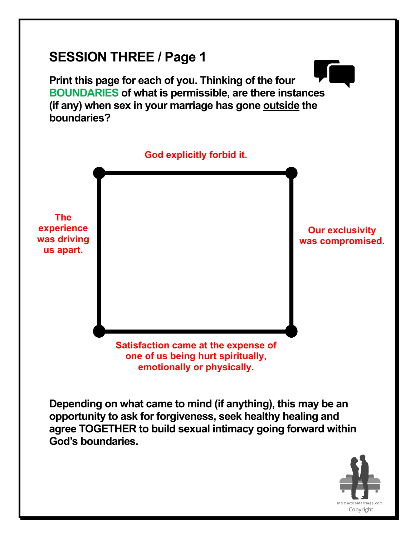